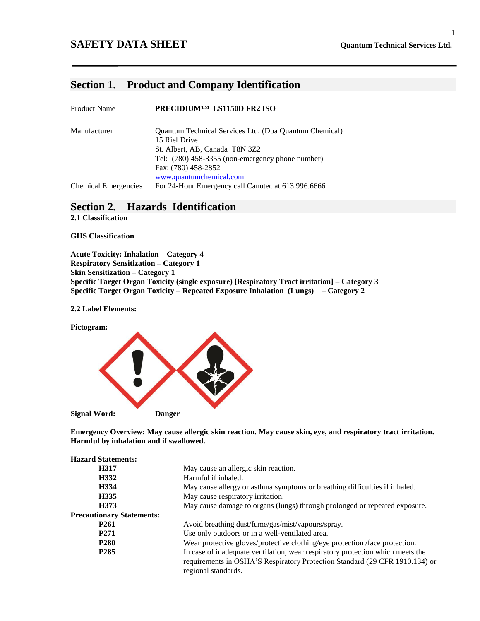#### **SAFETY DATA SHEET Quantum Technical Services Ltd.**

### **Section 1. Product and Company Identification**

| <b>Product Name</b>         | PRECIDIUM™ LS1150D FR2 ISO                             |
|-----------------------------|--------------------------------------------------------|
| Manufacturer                | Quantum Technical Services Ltd. (Dba Quantum Chemical) |
|                             | 15 Riel Drive                                          |
|                             | St. Albert, AB, Canada T8N 3Z2                         |
|                             | Tel: $(780)$ 458-3355 (non-emergency phone number)     |
|                             | Fax: (780) 458-2852                                    |
|                             | www.quantumchemical.com                                |
| <b>Chemical Emergencies</b> | For 24-Hour Emergency call Canutec at 613.996.6666     |

# **Section 2. Hazards Identification**

**2.1 Classification**

**GHS Classification**

**Acute Toxicity: Inhalation – Category 4 Respiratory Sensitization – Category 1 Skin Sensitization – Category 1 Specific Target Organ Toxicity (single exposure) [Respiratory Tract irritation] – Category 3 Specific Target Organ Toxicity – Repeated Exposure Inhalation (Lungs)\_ – Category 2**

**2.2 Label Elements:**

**Pictogram:**



**Emergency Overview: May cause allergic skin reaction. May cause skin, eye, and respiratory tract irritation. Harmful by inhalation and if swallowed.**

| <b>Hazard Statements:</b>        |                                                                                                                                                                                      |
|----------------------------------|--------------------------------------------------------------------------------------------------------------------------------------------------------------------------------------|
| H317                             | May cause an allergic skin reaction.                                                                                                                                                 |
| H332                             | Harmful if inhaled.                                                                                                                                                                  |
| H334                             | May cause allergy or asthma symptoms or breathing difficulties if inhaled.                                                                                                           |
| H335                             | May cause respiratory irritation.                                                                                                                                                    |
| H373                             | May cause damage to organs (lungs) through prolonged or repeated exposure.                                                                                                           |
| <b>Precautionary Statements:</b> |                                                                                                                                                                                      |
| P <sub>261</sub>                 | Avoid breathing dust/fume/gas/mist/vapours/spray.                                                                                                                                    |
| P <sub>271</sub>                 | Use only outdoors or in a well-ventilated area.                                                                                                                                      |
| <b>P280</b>                      | Wear protective gloves/protective clothing/eye protection /face protection.                                                                                                          |
| P <sub>285</sub>                 | In case of inadequate ventilation, wear respiratory protection which meets the<br>requirements in OSHA'S Respiratory Protection Standard (29 CFR 1910.134) or<br>regional standards. |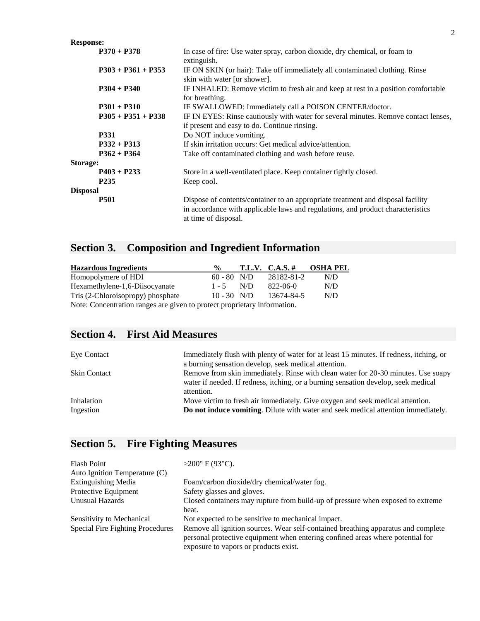| <b>Response:</b>     |                                                                                                                                                                                            |
|----------------------|--------------------------------------------------------------------------------------------------------------------------------------------------------------------------------------------|
| $P370 + P378$        | In case of fire: Use water spray, carbon dioxide, dry chemical, or foam to<br>extinguish.                                                                                                  |
| $P303 + P361 + P353$ | IF ON SKIN (or hair): Take off immediately all contaminated clothing. Rinse<br>skin with water [or shower].                                                                                |
| $P304 + P340$        | IF INHALED: Remove victim to fresh air and keep at rest in a position comfortable<br>for breathing.                                                                                        |
| $P301 + P310$        | IF SWALLOWED: Immediately call a POISON CENTER/doctor.                                                                                                                                     |
| $P305 + P351 + P338$ | IF IN EYES: Rinse cautiously with water for several minutes. Remove contact lenses,<br>if present and easy to do. Continue rinsing.                                                        |
| <b>P331</b>          | Do NOT induce vomiting.                                                                                                                                                                    |
| $P332 + P313$        | If skin irritation occurs: Get medical advice/attention.                                                                                                                                   |
| $P362 + P364$        | Take off contaminated clothing and wash before reuse.                                                                                                                                      |
| Storage:             |                                                                                                                                                                                            |
| $P403 + P233$        | Store in a well-ventilated place. Keep container tightly closed.                                                                                                                           |
| P <sub>235</sub>     | Keep cool.                                                                                                                                                                                 |
| <b>Disposal</b>      |                                                                                                                                                                                            |
| <b>P501</b>          | Dispose of contents/container to an appropriate treatment and disposal facility<br>in accordance with applicable laws and regulations, and product characteristics<br>at time of disposal. |

#### **Section 3. Composition and Ingredient Information**

| <b>Hazardous Ingredients</b>                                            | $\frac{0}{0}$ |     | T.L.V. C.A.S. # | <b>OSHA PEL</b> |
|-------------------------------------------------------------------------|---------------|-----|-----------------|-----------------|
| Homopolymere of HDI                                                     | $60 - 80$ N/D |     | 28182-81-2      | N/D             |
| Hexamethylene-1,6-Diisocyanate                                          | $1 - 5$       | N/D | 822-06-0        | N/D             |
| Tris (2-Chloroisopropy) phosphate                                       | $10 - 30$ N/D |     | 13674-84-5      | N/D             |
| Note: Concentration ranges are given to protect proprietary information |               |     |                 |                 |

Note: Concentration ranges are given to protect proprietary information.

# **Section 4. First Aid Measures**

| <b>Eye Contact</b>      | Immediately flush with plenty of water for at least 15 minutes. If redness, itching, or<br>a burning sensation develop, seek medical attention.                                       |
|-------------------------|---------------------------------------------------------------------------------------------------------------------------------------------------------------------------------------|
| Skin Contact            | Remove from skin immediately. Rinse with clean water for 20-30 minutes. Use soapy<br>water if needed. If redness, itching, or a burning sensation develop, seek medical<br>attention. |
| Inhalation<br>Ingestion | Move victim to fresh air immediately. Give oxygen and seek medical attention.<br><b>Do not induce vomiting.</b> Dilute with water and seek medical attention immediately.             |

# **Section 5. Fire Fighting Measures**

| <b>Flash Point</b>               | $>200^{\circ}$ F (93 $^{\circ}$ C).                                                                                                                                 |
|----------------------------------|---------------------------------------------------------------------------------------------------------------------------------------------------------------------|
| Auto Ignition Temperature (C)    |                                                                                                                                                                     |
| <b>Extinguishing Media</b>       | Foam/carbon dioxide/dry chemical/water fog.                                                                                                                         |
| Protective Equipment             | Safety glasses and gloves.                                                                                                                                          |
| Unusual Hazards                  | Closed containers may rupture from build-up of pressure when exposed to extreme                                                                                     |
|                                  | heat.                                                                                                                                                               |
| Sensitivity to Mechanical        | Not expected to be sensitive to mechanical impact.                                                                                                                  |
| Special Fire Fighting Procedures | Remove all ignition sources. Wear self-contained breathing apparatus and complete<br>personal protective equipment when entering confined areas where potential for |
|                                  | exposure to vapors or products exist.                                                                                                                               |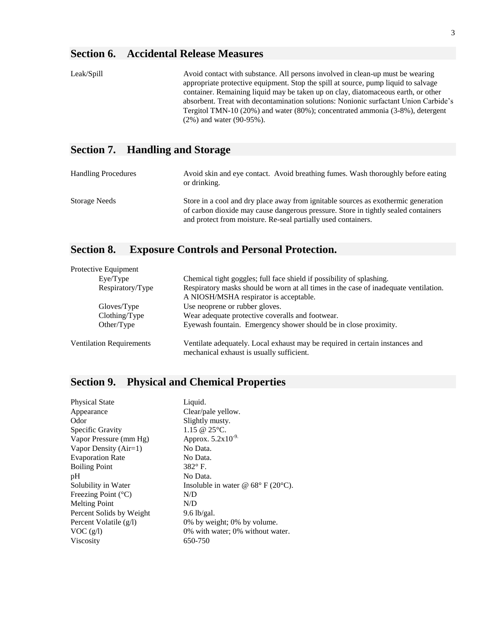# **Section 6. Accidental Release Measures**

| Leak/Spill | Avoid contact with substance. All persons involved in clean-up must be wearing<br>appropriate protective equipment. Stop the spill at source, pump liquid to salvage<br>container. Remaining liquid may be taken up on clay, diatomaceous earth, or other<br>absorbent. Treat with decontamination solutions: Nonionic surfactant Union Carbide's<br>Tergitol TMN-10 $(20\%)$ and water $(80\%)$ ; concentrated ammonia $(3-8\%)$ , detergent<br>$(2\%)$ and water $(90-95\%)$ . |
|------------|----------------------------------------------------------------------------------------------------------------------------------------------------------------------------------------------------------------------------------------------------------------------------------------------------------------------------------------------------------------------------------------------------------------------------------------------------------------------------------|
|            | $\alpha$ $\beta$ $\pi$ in $\alpha$                                                                                                                                                                                                                                                                                                                                                                                                                                               |

### **Section 7. Handling and Storage**

| <b>Handling Procedures</b> | Avoid skin and eye contact. Avoid breathing fumes. Wash thoroughly before eating<br>or drinking.                                                                         |
|----------------------------|--------------------------------------------------------------------------------------------------------------------------------------------------------------------------|
| Storage Needs              | Store in a cool and dry place away from ignitable sources as exothermic generation<br>of carbon dioxide may cause dangerous pressure. Store in tightly sealed containers |
|                            | and protect from moisture. Re-seal partially used containers.                                                                                                            |

# **Section 8. Exposure Controls and Personal Protection.**

| Protective Equipment            |                                                                                                                                |
|---------------------------------|--------------------------------------------------------------------------------------------------------------------------------|
| Eye/Type                        | Chemical tight goggles; full face shield if possibility of splashing.                                                          |
| Respiratory/Type                | Respiratory masks should be worn at all times in the case of inadequate ventilation.<br>A NIOSH/MSHA respirator is acceptable. |
| Gloves/Type                     | Use neoprene or rubber gloves.                                                                                                 |
| Clothing/Type                   | Wear adequate protective coveralls and footwear.                                                                               |
| Other/Type                      | Eyewash fountain. Emergency shower should be in close proximity.                                                               |
| <b>Ventilation Requirements</b> | Ventilate adequately. Local exhaust may be required in certain instances and<br>mechanical exhaust is usually sufficient.      |

# **Section 9. Physical and Chemical Properties**

| <b>Physical State</b>        | Liquid.                                                |
|------------------------------|--------------------------------------------------------|
| Appearance                   | Clear/pale yellow.                                     |
| Odor                         | Slightly musty.                                        |
| Specific Gravity             | 1.15 @ $25^{\circ}$ C.                                 |
| Vapor Pressure (mm Hg)       | Approx. $5.2x10^{-9}$                                  |
| Vapor Density $(Air=1)$      | No Data.                                               |
| <b>Evaporation Rate</b>      | No Data.                                               |
| <b>Boiling Point</b>         | $382^\circ$ F.                                         |
| pH                           | No Data.                                               |
| Solubility in Water          | Insoluble in water @ $68^{\circ}$ F (20 $^{\circ}$ C). |
| Freezing Point $(^{\circ}C)$ | N/D                                                    |
| <b>Melting Point</b>         | N/D                                                    |
| Percent Solids by Weight     | $9.6$ lb/gal.                                          |
| Percent Volatile (g/l)       | 0% by weight; 0% by volume.                            |
| VOC(g/l)                     | 0% with water; 0% without water.                       |
| <b>Viscosity</b>             | 650-750                                                |
|                              |                                                        |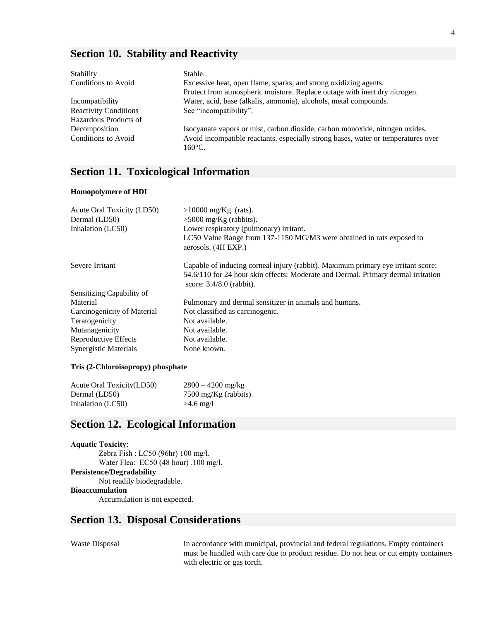#### **Section 10. Stability and Reactivity**

| Stability                    | Stable.                                                                                               |
|------------------------------|-------------------------------------------------------------------------------------------------------|
| Conditions to Avoid          | Excessive heat, open flame, sparks, and strong oxidizing agents.                                      |
|                              | Protect from atmospheric moisture. Replace outage with inert dry nitrogen.                            |
| Incompatibility              | Water, acid, base (alkalis, ammonia), alcohols, metal compounds.                                      |
| <b>Reactivity Conditions</b> | See "incompatibility".                                                                                |
| Hazardous Products of        |                                                                                                       |
| Decomposition                | Isocyanate vapors or mist, carbon dioxide, carbon monoxide, nitrogen oxides.                          |
| <b>Conditions to Avoid</b>   | Avoid incompatible reactants, especially strong bases, water or temperatures over<br>$160^{\circ}$ C. |

### **Section 11. Toxicological Information**

#### **Homopolymere of HDI**

| Acute Oral Toxicity (LD50)   | $>10000$ mg/Kg (rats).                                                                                                                                                                              |
|------------------------------|-----------------------------------------------------------------------------------------------------------------------------------------------------------------------------------------------------|
| Dermal (LD50)                | $>5000$ mg/Kg (rabbits).                                                                                                                                                                            |
| Inhalation (LC50)            | Lower respiratory (pulmonary) irritant.                                                                                                                                                             |
|                              | LC50 Value Range from 137-1150 MG/M3 were obtained in rats exposed to<br>aerosols. (4H EXP.)                                                                                                        |
| Severe Irritant              | Capable of inducing corneal injury (rabbit). Maximum primary eye irritant score:<br>54.6/110 for 24 hour skin effects: Moderate and Dermal. Primary dermal irritation<br>score: $3.4/8.0$ (rabbit). |
| Sensitizing Capability of    |                                                                                                                                                                                                     |
| Material                     | Pulmonary and dermal sensitizer in animals and humans.                                                                                                                                              |
| Carcinogenicity of Material  | Not classified as carcinogenic.                                                                                                                                                                     |
| Teratogenicity               | Not available.                                                                                                                                                                                      |
| Mutanagenicity               | Not available.                                                                                                                                                                                      |
| Reproductive Effects         | Not available.                                                                                                                                                                                      |
| <b>Synergistic Materials</b> | None known.                                                                                                                                                                                         |
|                              |                                                                                                                                                                                                     |

#### **Tris (2-Chloroisopropy) phosphate**

| Acute Oral Toxicity (LD50) | $2800 - 4200$ mg/kg             |
|----------------------------|---------------------------------|
| Dermal (LD50)              | $7500 \text{ mg/Kg}$ (rabbits). |
| Inhalation (LC50)          | $>4.6$ mg/l                     |

### **Section 12. Ecological Information**

**Aquatic Toxicity**: Zebra Fish : LC50 (96hr) 100 mg/l. Water Flea: EC50 (48 hour) .100 mg/l. **Persistence/Degradability** Not readily biodegradable. **Bioaccumulation** Accumulation is not expected.

#### **Section 13. Disposal Considerations**

Waste Disposal In accordance with municipal, provincial and federal regulations. Empty containers must be handled with care due to product residue. Do not heat or cut empty containers with electric or gas torch.